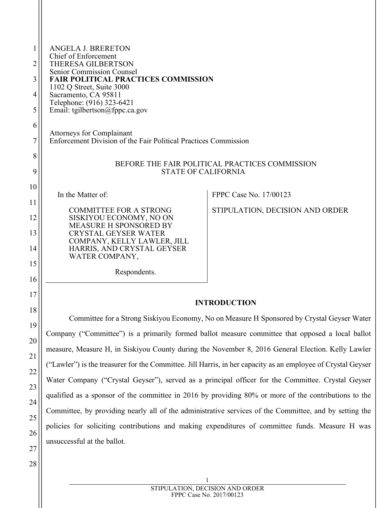| 1  | <b>ANGELA J. BRERETON</b><br>Chief of Enforcement                                                            |                                                                                                        |  |
|----|--------------------------------------------------------------------------------------------------------------|--------------------------------------------------------------------------------------------------------|--|
| 2  | THERESA GILBERTSON<br><b>Senior Commission Counsel</b>                                                       |                                                                                                        |  |
| 3  | <b>FAIR POLITICAL PRACTICES COMMISSION</b><br>1102 Q Street, Suite 3000                                      |                                                                                                        |  |
| 4  | Sacramento, CA 95811<br>Telephone: (916) 323-6421                                                            |                                                                                                        |  |
| 5  | Email: tgilbertson@fppc.ca.gov                                                                               |                                                                                                        |  |
| 6  | <b>Attorneys for Complainant</b>                                                                             |                                                                                                        |  |
| 7  | Enforcement Division of the Fair Political Practices Commission                                              |                                                                                                        |  |
| 8  |                                                                                                              | BEFORE THE FAIR POLITICAL PRACTICES COMMISSION                                                         |  |
| 9  | <b>STATE OF CALIFORNIA</b>                                                                                   |                                                                                                        |  |
| 10 | In the Matter of:                                                                                            | FPPC Case No. 17/00123                                                                                 |  |
| 11 | <b>COMMITTEE FOR A STRONG</b>                                                                                | STIPULATION, DECISION AND ORDER                                                                        |  |
| 12 | SISKIYOU ECONOMY, NO ON<br><b>MEASURE H SPONSORED BY</b>                                                     |                                                                                                        |  |
| 13 | <b>CRYSTAL GEYSER WATER</b>                                                                                  |                                                                                                        |  |
| 14 | COMPANY, KELLY LAWLER, JILL<br>HARRIS, AND CRYSTAL GEYSER                                                    |                                                                                                        |  |
| 15 | WATER COMPANY,                                                                                               |                                                                                                        |  |
| 16 | Respondents.                                                                                                 |                                                                                                        |  |
| 17 |                                                                                                              |                                                                                                        |  |
| 18 |                                                                                                              | <b>INTRODUCTION</b>                                                                                    |  |
| 19 |                                                                                                              | Committee for a Strong Siskiyou Economy, No on Measure H Sponsored by Crystal Geyser Water             |  |
| 20 |                                                                                                              | Company ("Committee") is a primarily formed ballot measure committee that opposed a local ballot       |  |
| 21 | measure, Measure H, in Siskiyou County during the November 8, 2016 General Election. Kelly Lawler            |                                                                                                        |  |
| 22 | ("Lawler") is the treasurer for the Committee. Jill Harris, in her capacity as an employee of Crystal Geyser |                                                                                                        |  |
| 23 | Water Company ("Crystal Geyser"), served as a principal officer for the Committee. Crystal Geyser            |                                                                                                        |  |
| 24 |                                                                                                              | qualified as a sponsor of the committee in 2016 by providing 80% or more of the contributions to the   |  |
| 25 |                                                                                                              | Committee, by providing nearly all of the administrative services of the Committee, and by setting the |  |

policies for soliciting contributions and making expenditures of committee funds. Measure H was unsuccessful at the ballot.

28

26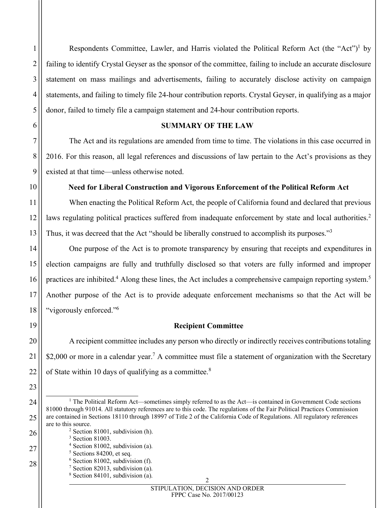1

2

3

Respondents Committee, Lawler, and Harris violated the Political Reform Act (the "Act")<sup>[1](#page-1-0)</sup> by failing to identify Crystal Geyser as the sponsor of the committee, failing to include an accurate disclosure statement on mass mailings and advertisements, failing to accurately disclose activity on campaign statements, and failing to timely file 24-hour contribution reports. Crystal Geyser, in qualifying as a major donor, failed to timely file a campaign statement and 24-hour contribution reports.

# **SUMMARY OF THE LAW**

The Act and its regulations are amended from time to time. The violations in this case occurred in 2016. For this reason, all legal references and discussions of law pertain to the Act's provisions as they existed at that time—unless otherwise noted.

# **Need for Liberal Construction and Vigorous Enforcement of the Political Reform Act**

When enacting the Political Reform Act, the people of California found and declared that previous laws regulating political practices suffered from inadequate enforcement by state and local authorities.<sup>[2](#page-1-1)</sup> Thus, it was decreed that the Act "should be liberally construed to accomplish its purposes."<sup>[3](#page-1-2)</sup>

One purpose of the Act is to promote transparency by ensuring that receipts and expenditures in election campaigns are fully and truthfully disclosed so that voters are fully informed and improper practices are inhibited.<sup>[4](#page-1-3)</sup> Along these lines, the Act includes a comprehensive campaign reporting system.<sup>[5](#page-1-4)</sup> Another purpose of the Act is to provide adequate enforcement mechanisms so that the Act will be "vigorously enforced."[6](#page-1-5)

# **Recipient Committee**

A recipient committee includes any person who directly or indirectly receives contributions totaling \$2,000 or more in a calendar year.<sup>[7](#page-1-6)</sup> A committee must file a statement of organization with the Secretary of State within 10 days of qualifying as a committee. $8<sup>8</sup>$  $8<sup>8</sup>$ 

<span id="page-1-2"></span><sup>3</sup> Section 81003.

<span id="page-1-5"></span><span id="page-1-4"></span><span id="page-1-3"></span><sup>5</sup> Sections 84200, et seq.

<span id="page-1-0"></span><sup>&</sup>lt;sup>1</sup> The Political Reform Act—sometimes simply referred to as the Act—is contained in Government Code sections 81000 through 91014. All statutory references are to this code. The regulations of the Fair Political Practices Commission are contained in Sections 18110 through 18997 of Title 2 of the California Code of Regulations. All regulatory references are to this source.

<span id="page-1-1"></span><sup>2</sup> Section 81001, subdivision (h).

<sup>4</sup> Section 81002, subdivision (a).

<sup>6</sup> Section 81002, subdivision (f).

<span id="page-1-7"></span><span id="page-1-6"></span> $7$  Section 82013, subdivision (a).  $8$  Section 84101, subdivision (a).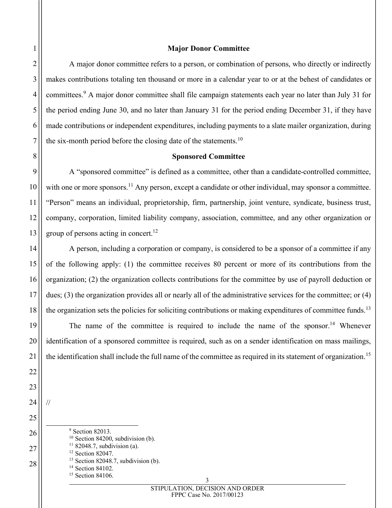## **Major Donor Committee**

A major donor committee refers to a person, or combination of persons, who directly or indirectly makes contributions totaling ten thousand or more in a calendar year to or at the behest of candidates or committees.[9](#page-2-0) A major donor committee shall file campaign statements each year no later than July 31 for the period ending June 30, and no later than January 31 for the period ending December 31, if they have made contributions or independent expenditures, including payments to a slate mailer organization, during the six-month period before the closing date of the statements.<sup>[10](#page-2-1)</sup>

## **Sponsored Committee**

A "sponsored committee" is defined as a committee, other than a candidate-controlled committee, with one or more sponsors.<sup>[11](#page-2-2)</sup> Any person, except a candidate or other individual, may sponsor a committee. "Person" means an individual, proprietorship, firm, partnership, joint venture, syndicate, business trust, company, corporation, limited liability company, association, committee, and any other organization or group of persons acting in concert. $12$ 

A person, including a corporation or company, is considered to be a sponsor of a committee if any of the following apply: (1) the committee receives 80 percent or more of its contributions from the organization; (2) the organization collects contributions for the committee by use of payroll deduction or dues; (3) the organization provides all or nearly all of the administrative services for the committee; or (4) the organization sets the policies for soliciting contributions or making expenditures of committee funds.<sup>[13](#page-2-4)</sup>

The name of the committee is required to include the name of the sponsor.<sup>[14](#page-2-5)</sup> Whenever identification of a sponsored committee is required, such as on a sender identification on mass mailings, the identification shall include the full name of the committee as required in its statement of organization.<sup>[15](#page-2-6)</sup>

<span id="page-2-6"></span><span id="page-2-5"></span><span id="page-2-4"></span><span id="page-2-3"></span><span id="page-2-2"></span><span id="page-2-1"></span><span id="page-2-0"></span><sup>9</sup> Section 82013.  $10$  Section 84200, subdivision (b).  $1182048.7$ , subdivision (a). <sup>12</sup> Section 82047. <sup>13</sup> Section 82048.7, subdivision (b). <sup>14</sup> Section 84102. <sup>15</sup> Section 84106.

//

3 STIPULATION, DECISION AND ORDER FPPC Case No. 2017/00123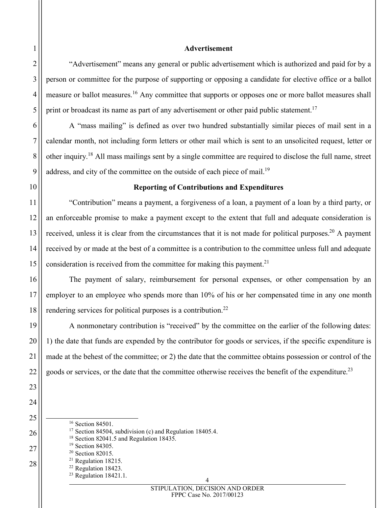## **Advertisement**

"Advertisement" means any general or public advertisement which is authorized and paid for by a person or committee for the purpose of supporting or opposing a candidate for elective office or a ballot measure or ballot measures.<sup>[16](#page-3-0)</sup> Any committee that supports or opposes one or more ballot measures shall print or broadcast its name as part of any advertisement or other paid public statement.<sup>[17](#page-3-1)</sup>

A "mass mailing" is defined as over two hundred substantially similar pieces of mail sent in a calendar month, not including form letters or other mail which is sent to an unsolicited request, letter or other inquiry.[18](#page-3-2) All mass mailings sent by a single committee are required to disclose the full name, street address, and city of the committee on the outside of each piece of mail.<sup>[19](#page-3-3)</sup>

# **Reporting of Contributions and Expenditures**

"Contribution" means a payment, a forgiveness of a loan, a payment of a loan by a third party, or an enforceable promise to make a payment except to the extent that full and adequate consideration is received, unless it is clear from the circumstances that it is not made for political purposes.<sup>[20](#page-3-4)</sup> A payment received by or made at the best of a committee is a contribution to the committee unless full and adequate consideration is received from the committee for making this payment.<sup>[21](#page-3-5)</sup>

The payment of salary, reimbursement for personal expenses, or other compensation by an employer to an employee who spends more than 10% of his or her compensated time in any one month rendering services for political purposes is a contribution.<sup>[22](#page-3-6)</sup>

A nonmonetary contribution is "received" by the committee on the earlier of the following dates: 1) the date that funds are expended by the contributor for goods or services, if the specific expenditure is made at the behest of the committee; or 2) the date that the committee obtains possession or control of the goods or services, or the date that the committee otherwise receives the benefit of the expenditure.[23](#page-3-7)

- <span id="page-3-0"></span><sup>16</sup> Section 84501.
- <sup>17</sup> Section 84504, subdivision (c) and Regulation 18405.4.
- <span id="page-3-2"></span><span id="page-3-1"></span><sup>18</sup> Section 82041.5 and Regulation 18435.
- <span id="page-3-3"></span><sup>19</sup> Section 84305.
- <span id="page-3-4"></span><sup>20</sup> Section 82015.
- <span id="page-3-7"></span><span id="page-3-6"></span><span id="page-3-5"></span><sup>21</sup> Regulation 18215.
	- <sup>22</sup> Regulation 18423.
	- <sup>23</sup> Regulation 18421.1.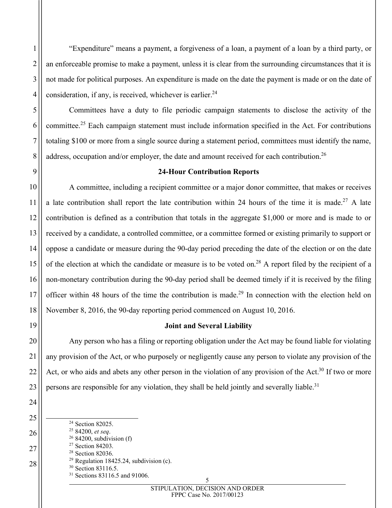"Expenditure" means a payment, a forgiveness of a loan, a payment of a loan by a third party, or an enforceable promise to make a payment, unless it is clear from the surrounding circumstances that it is not made for political purposes. An expenditure is made on the date the payment is made or on the date of consideration, if any, is received, whichever is earlier. $24$ 

Committees have a duty to file periodic campaign statements to disclose the activity of the committee.[25](#page-4-1) Each campaign statement must include information specified in the Act. For contributions totaling \$100 or more from a single source during a statement period, committees must identify the name, address, occupation and/or employer, the date and amount received for each contribution.<sup>[26](#page-4-2)</sup>

# **24-Hour Contribution Reports**

A committee, including a recipient committee or a major donor committee, that makes or receives a late contribution shall report the late contribution within 24 hours of the time it is made.<sup>[27](#page-4-3)</sup> A late contribution is defined as a contribution that totals in the aggregate \$1,000 or more and is made to or received by a candidate, a controlled committee, or a committee formed or existing primarily to support or oppose a candidate or measure during the 90-day period preceding the date of the election or on the date of the election at which the candidate or measure is to be voted on.<sup>[28](#page-4-4)</sup> A report filed by the recipient of a non-monetary contribution during the 90-day period shall be deemed timely if it is received by the filing officer within 48 hours of the time the contribution is made.<sup>[29](#page-4-5)</sup> In connection with the election held on November 8, 2016, the 90-day reporting period commenced on August 10, 2016.

# **Joint and Several Liability**

Any person who has a filing or reporting obligation under the Act may be found liable for violating any provision of the Act, or who purposely or negligently cause any person to violate any provision of the Act, or who aids and abets any other person in the violation of any provision of the Act.<sup>[30](#page-4-6)</sup> If two or more persons are responsible for any violation, they shall be held jointly and severally liable.<sup>[31](#page-4-7)</sup>

<span id="page-4-7"></span><span id="page-4-6"></span><span id="page-4-5"></span><span id="page-4-4"></span><span id="page-4-3"></span><span id="page-4-2"></span><span id="page-4-1"></span><span id="page-4-0"></span> Section 82025. 84200, *et seq*. 84200, subdivision (f) Section 84203. Section 82036. Regulation 18425.24, subdivision (c). <sup>30</sup> Section 83116.5. <sup>31</sup> Sections 83116.5 and 91006.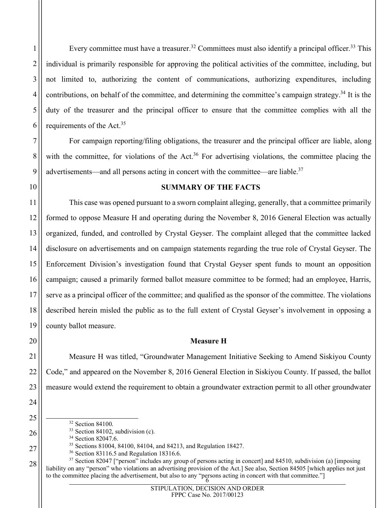Every committee must have a treasurer.<sup>[32](#page-5-0)</sup> Committees must also identify a principal officer.<sup>[33](#page-5-1)</sup> This individual is primarily responsible for approving the political activities of the committee, including, but not limited to, authorizing the content of communications, authorizing expenditures, including contributions, on behalf of the committee, and determining the committee's campaign strategy.<sup>[34](#page-5-2)</sup> It is the duty of the treasurer and the principal officer to ensure that the committee complies with all the requirements of the Act.<sup>[35](#page-5-3)</sup>

For campaign reporting/filing obligations, the treasurer and the principal officer are liable, along with the committee, for violations of the Act.<sup>[36](#page-5-4)</sup> For advertising violations, the committee placing the advertisements—and all persons acting in concert with the committee—are liable.<sup>[37](#page-5-5)</sup>

# **SUMMARY OF THE FACTS**

This case was opened pursuant to a sworn complaint alleging, generally, that a committee primarily formed to oppose Measure H and operating during the November 8, 2016 General Election was actually organized, funded, and controlled by Crystal Geyser. The complaint alleged that the committee lacked disclosure on advertisements and on campaign statements regarding the true role of Crystal Geyser. The Enforcement Division's investigation found that Crystal Geyser spent funds to mount an opposition campaign; caused a primarily formed ballot measure committee to be formed; had an employee, Harris, serve as a principal officer of the committee; and qualified as the sponsor of the committee. The violations described herein misled the public as to the full extent of Crystal Geyser's involvement in opposing a county ballot measure.

# **Measure H**

Measure H was titled, "Groundwater Management Initiative Seeking to Amend Siskiyou County Code," and appeared on the November 8, 2016 General Election in Siskiyou County. If passed, the ballot measure would extend the requirement to obtain a groundwater extraction permit to all other groundwater

<span id="page-5-1"></span><span id="page-5-0"></span><sup>32</sup> Section 84100.

<span id="page-5-5"></span><span id="page-5-4"></span>to the committee placing the advertisement, but also to any "persons acting in concert with that committee."] <sup>37</sup> Section 82047 ["person" includes any group of persons acting in concert] and 84510, subdivision (a) [imposing liability on any "person" who violations an advertising provision of the Act.] See also, Section 84505 [which applies not just

<sup>&</sup>lt;sup>33</sup> Section 84102, subdivision (c).

<span id="page-5-3"></span><span id="page-5-2"></span><sup>&</sup>lt;sup>34</sup> Section 82047.6.

<sup>35</sup> Sections 81004, 84100, 84104, and 84213, and Regulation 18427.

<sup>36</sup> Section 83116.5 and Regulation 18316.6.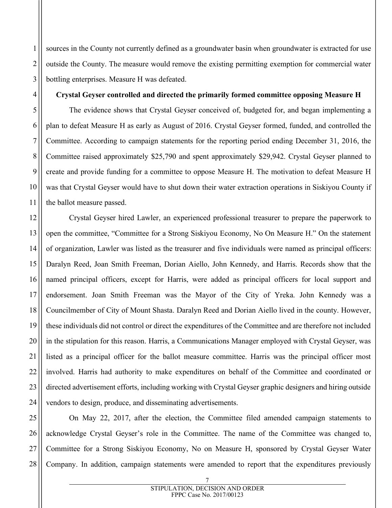sources in the County not currently defined as a groundwater basin when groundwater is extracted for use outside the County. The measure would remove the existing permitting exemption for commercial water bottling enterprises. Measure H was defeated.

## **Crystal Geyser controlled and directed the primarily formed committee opposing Measure H**

The evidence shows that Crystal Geyser conceived of, budgeted for, and began implementing a plan to defeat Measure H as early as August of 2016. Crystal Geyser formed, funded, and controlled the Committee. According to campaign statements for the reporting period ending December 31, 2016, the Committee raised approximately \$25,790 and spent approximately \$29,942. Crystal Geyser planned to create and provide funding for a committee to oppose Measure H. The motivation to defeat Measure H was that Crystal Geyser would have to shut down their water extraction operations in Siskiyou County if the ballot measure passed.

Crystal Geyser hired Lawler, an experienced professional treasurer to prepare the paperwork to open the committee, "Committee for a Strong Siskiyou Economy, No On Measure H." On the statement of organization, Lawler was listed as the treasurer and five individuals were named as principal officers: Daralyn Reed, Joan Smith Freeman, Dorian Aiello, John Kennedy, and Harris. Records show that the named principal officers, except for Harris, were added as principal officers for local support and endorsement. Joan Smith Freeman was the Mayor of the City of Yreka. John Kennedy was a Councilmember of City of Mount Shasta. Daralyn Reed and Dorian Aiello lived in the county. However, these individuals did not control or direct the expenditures of the Committee and are therefore not included in the stipulation for this reason. Harris, a Communications Manager employed with Crystal Geyser, was listed as a principal officer for the ballot measure committee. Harris was the principal officer most involved. Harris had authority to make expenditures on behalf of the Committee and coordinated or directed advertisement efforts, including working with Crystal Geyser graphic designers and hiring outside vendors to design, produce, and disseminating advertisements.

On May 22, 2017, after the election, the Committee filed amended campaign statements to acknowledge Crystal Geyser's role in the Committee. The name of the Committee was changed to, Committee for a Strong Siskiyou Economy, No on Measure H, sponsored by Crystal Geyser Water Company. In addition, campaign statements were amended to report that the expenditures previously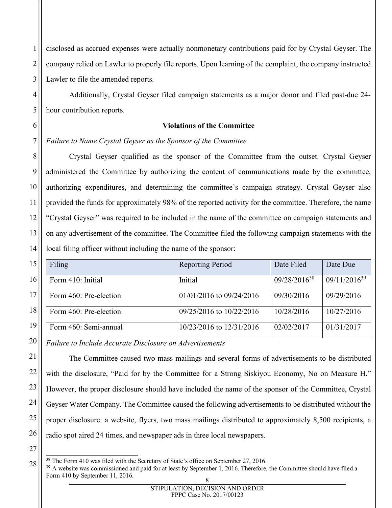disclosed as accrued expenses were actually nonmonetary contributions paid for by Crystal Geyser. The company relied on Lawler to properly file reports. Upon learning of the complaint, the company instructed Lawler to file the amended reports.

Additionally, Crystal Geyser filed campaign statements as a major donor and filed past-due 24 hour contribution reports.

# **Violations of the Committee**

*Failure to Name Crystal Geyser as the Sponsor of the Committee*

Crystal Geyser qualified as the sponsor of the Committee from the outset. Crystal Geyser administered the Committee by authorizing the content of communications made by the committee, authorizing expenditures, and determining the committee's campaign strategy. Crystal Geyser also provided the funds for approximately 98% of the reported activity for the committee. Therefore, the name "Crystal Geyser" was required to be included in the name of the committee on campaign statements and on any advertisement of the committee. The Committee filed the following campaign statements with the local filing officer without including the name of the sponsor:

| Filing                 | <b>Reporting Period</b>      | Date Filed               | Date Due          |
|------------------------|------------------------------|--------------------------|-------------------|
| Form 410: Initial      | Initial                      | 09/28/2016 <sup>38</sup> | $09/11/2016^{39}$ |
| Form 460: Pre-election | $01/01/2016$ to $09/24/2016$ | 09/30/2016               | 09/29/2016        |
| Form 460: Pre-election | 09/25/2016 to 10/22/2016     | 10/28/2016               | 10/27/2016        |
| Form 460: Semi-annual  | 10/23/2016 to 12/31/2016     | 02/02/2017               | 01/31/2017        |

*Failure to Include Accurate Disclosure on Advertisements*

The Committee caused two mass mailings and several forms of advertisements to be distributed with the disclosure, "Paid for by the Committee for a Strong Siskiyou Economy, No on Measure H." However, the proper disclosure should have included the name of the sponsor of the Committee, Crystal Geyser Water Company. The Committee caused the following advertisements to be distributed without the proper disclosure: a website, flyers, two mass mailings distributed to approximately 8,500 recipients, a radio spot aired 24 times, and newspaper ads in three local newspapers.

<span id="page-7-1"></span><span id="page-7-0"></span><sup>&</sup>lt;sup>38</sup> The Form 410 was filed with the Secretary of State's office on September 27, 2016.

<sup>8</sup>  $39$  A website was commissioned and paid for at least by September 1, 2016. Therefore, the Committee should have filed a Form 410 by September 11, 2016.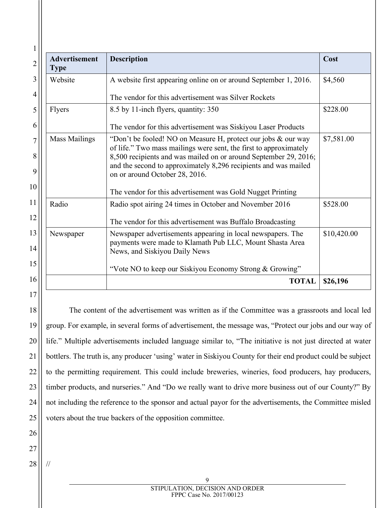| Advertisement<br><b>Type</b>                                                                                                                                                                                                                                                                                                        | <b>Description</b>                                                                                                                                       |             |
|-------------------------------------------------------------------------------------------------------------------------------------------------------------------------------------------------------------------------------------------------------------------------------------------------------------------------------------|----------------------------------------------------------------------------------------------------------------------------------------------------------|-------------|
| Website                                                                                                                                                                                                                                                                                                                             | A website first appearing online on or around September 1, 2016.                                                                                         |             |
|                                                                                                                                                                                                                                                                                                                                     | The vendor for this advertisement was Silver Rockets                                                                                                     |             |
| Flyers                                                                                                                                                                                                                                                                                                                              | 8.5 by 11-inch flyers, quantity: 350                                                                                                                     | \$228.00    |
|                                                                                                                                                                                                                                                                                                                                     | The vendor for this advertisement was Siskiyou Laser Products                                                                                            |             |
| <b>Mass Mailings</b><br>"Don't be fooled! NO on Measure H, protect our jobs & our way<br>of life." Two mass mailings were sent, the first to approximately<br>8,500 recipients and was mailed on or around September 29, 2016;<br>and the second to approximately 8,296 recipients and was mailed<br>on or around October 28, 2016. |                                                                                                                                                          | \$7,581.00  |
|                                                                                                                                                                                                                                                                                                                                     | The vendor for this advertisement was Gold Nugget Printing                                                                                               |             |
| Radio                                                                                                                                                                                                                                                                                                                               | Radio spot airing 24 times in October and November 2016                                                                                                  | \$528.00    |
|                                                                                                                                                                                                                                                                                                                                     | The vendor for this advertisement was Buffalo Broadcasting                                                                                               |             |
| Newspaper                                                                                                                                                                                                                                                                                                                           | Newspaper advertisements appearing in local newspapers. The<br>payments were made to Klamath Pub LLC, Mount Shasta Area<br>News, and Siskiyou Daily News | \$10,420.00 |
|                                                                                                                                                                                                                                                                                                                                     | "Vote NO to keep our Siskiyou Economy Strong & Growing"                                                                                                  |             |
|                                                                                                                                                                                                                                                                                                                                     | <b>TOTAL</b>                                                                                                                                             | \$26,196    |

The content of the advertisement was written as if the Committee was a grassroots and local led group. For example, in several forms of advertisement, the message was, "Protect our jobs and our way of life." Multiple advertisements included language similar to, "The initiative is not just directed at water bottlers. The truth is, any producer 'using' water in Siskiyou County for their end product could be subject to the permitting requirement. This could include breweries, wineries, food producers, hay producers, timber products, and nurseries." And "Do we really want to drive more business out of our County?" By not including the reference to the sponsor and actual payor for the advertisements, the Committee misled voters about the true backers of the opposition committee.

25

26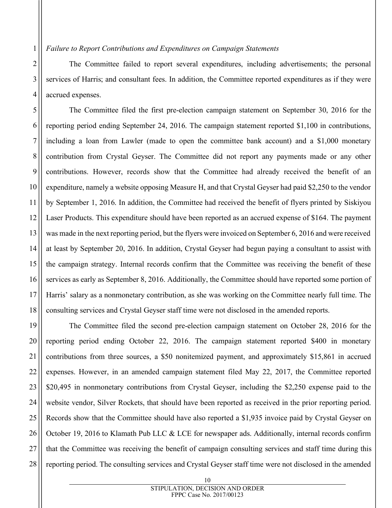1

2

3

4

6

7

10

11

17

The Committee failed to report several expenditures, including advertisements; the personal services of Harris; and consultant fees. In addition, the Committee reported expenditures as if they were accrued expenses.

5 8 9 12 13 14 15 16 18 The Committee filed the first pre-election campaign statement on September 30, 2016 for the reporting period ending September 24, 2016. The campaign statement reported \$1,100 in contributions, including a loan from Lawler (made to open the committee bank account) and a \$1,000 monetary contribution from Crystal Geyser. The Committee did not report any payments made or any other contributions. However, records show that the Committee had already received the benefit of an expenditure, namely a website opposing Measure H, and that Crystal Geyser had paid \$2,250 to the vendor by September 1, 2016. In addition, the Committee had received the benefit of flyers printed by Siskiyou Laser Products. This expenditure should have been reported as an accrued expense of \$164. The payment was made in the next reporting period, but the flyers were invoiced on September 6, 2016 and were received at least by September 20, 2016. In addition, Crystal Geyser had begun paying a consultant to assist with the campaign strategy. Internal records confirm that the Committee was receiving the benefit of these services as early as September 8, 2016. Additionally, the Committee should have reported some portion of Harris' salary as a nonmonetary contribution, as she was working on the Committee nearly full time. The consulting services and Crystal Geyser staff time were not disclosed in the amended reports.

19 20 21 22 23 24 25 26 27 28 The Committee filed the second pre-election campaign statement on October 28, 2016 for the reporting period ending October 22, 2016. The campaign statement reported \$400 in monetary contributions from three sources, a \$50 nonitemized payment, and approximately \$15,861 in accrued expenses. However, in an amended campaign statement filed May 22, 2017, the Committee reported \$20,495 in nonmonetary contributions from Crystal Geyser, including the \$2,250 expense paid to the website vendor, Silver Rockets, that should have been reported as received in the prior reporting period. Records show that the Committee should have also reported a \$1,935 invoice paid by Crystal Geyser on October 19, 2016 to Klamath Pub LLC & LCE for newspaper ads. Additionally, internal records confirm that the Committee was receiving the benefit of campaign consulting services and staff time during this reporting period. The consulting services and Crystal Geyser staff time were not disclosed in the amended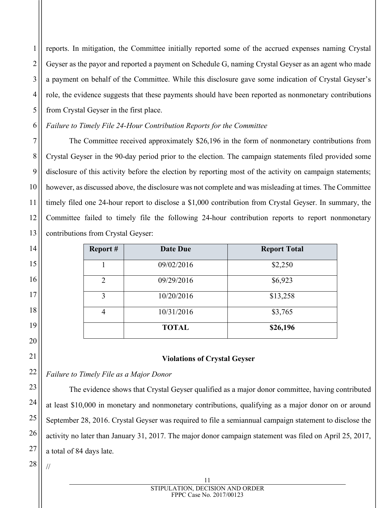3 4 5 reports. In mitigation, the Committee initially reported some of the accrued expenses naming Crystal Geyser as the payor and reported a payment on Schedule G, naming Crystal Geyser as an agent who made a payment on behalf of the Committee. While this disclosure gave some indication of Crystal Geyser's role, the evidence suggests that these payments should have been reported as nonmonetary contributions from Crystal Geyser in the first place.

# *Failure to Timely File 24-Hour Contribution Reports for the Committee*

The Committee received approximately \$26,196 in the form of nonmonetary contributions from Crystal Geyser in the 90-day period prior to the election. The campaign statements filed provided some disclosure of this activity before the election by reporting most of the activity on campaign statements; however, as discussed above, the disclosure was not complete and was misleading at times. The Committee timely filed one 24-hour report to disclose a \$1,000 contribution from Crystal Geyser. In summary, the Committee failed to timely file the following 24-hour contribution reports to report nonmonetary contributions from Crystal Geyser:

| Report#        | Date Due     | <b>Report Total</b> |
|----------------|--------------|---------------------|
|                | 09/02/2016   | \$2,250             |
| $\overline{2}$ | 09/29/2016   | \$6,923             |
| 3              | 10/20/2016   | \$13,258            |
| 4              | 10/31/2016   | \$3,765             |
|                | <b>TOTAL</b> | \$26,196            |

# **Violations of Crystal Geyser**

*Failure to Timely File as a Major Donor*

The evidence shows that Crystal Geyser qualified as a major donor committee, having contributed at least \$10,000 in monetary and nonmonetary contributions, qualifying as a major donor on or around September 28, 2016. Crystal Geyser was required to file a semiannual campaign statement to disclose the activity no later than January 31, 2017. The major donor campaign statement was filed on April 25, 2017, a total of 84 days late.

28 //

1

2

6

7

8

9

10

11

12

13

14

15

16

17

18

19

20

21

22

23

24

25

26

27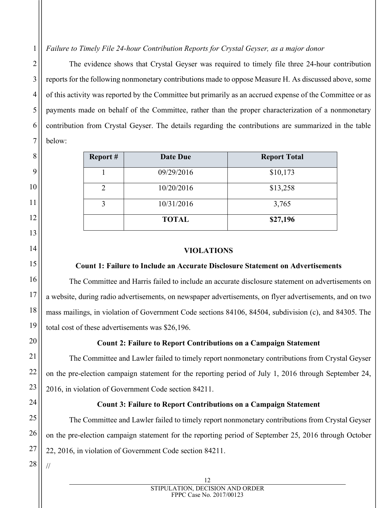*Failure to Timely File 24-hour Contribution Reports for Crystal Geyser, as a major donor*

The evidence shows that Crystal Geyser was required to timely file three 24-hour contribution reports for the following nonmonetary contributions made to oppose Measure H. As discussed above, some of this activity was reported by the Committee but primarily as an accrued expense of the Committee or as payments made on behalf of the Committee, rather than the proper characterization of a nonmonetary contribution from Crystal Geyser. The details regarding the contributions are summarized in the table below:

| Report# | <b>Date Due</b> | <b>Report Total</b> |
|---------|-----------------|---------------------|
|         | 09/29/2016      | \$10,173            |
| 2       | 10/20/2016      | \$13,258            |
| 3       | 10/31/2016      | 3,765               |
|         | <b>TOTAL</b>    | \$27,196            |

## **VIOLATIONS**

#### **Count 1: Failure to Include an Accurate Disclosure Statement on Advertisements**

The Committee and Harris failed to include an accurate disclosure statement on advertisements on a website, during radio advertisements, on newspaper advertisements, on flyer advertisements, and on two mass mailings, in violation of Government Code sections 84106, 84504, subdivision (c), and 84305. The total cost of these advertisements was \$26,196.

# **Count 2: Failure to Report Contributions on a Campaign Statement**

The Committee and Lawler failed to timely report nonmonetary contributions from Crystal Geyser on the pre-election campaign statement for the reporting period of July 1, 2016 through September 24, 2016, in violation of Government Code section 84211.

## **Count 3: Failure to Report Contributions on a Campaign Statement**

The Committee and Lawler failed to timely report nonmonetary contributions from Crystal Geyser on the pre-election campaign statement for the reporting period of September 25, 2016 through October 22, 2016, in violation of Government Code section 84211.

27 28 //

1

2

3

4

5

6

7

8

9

10

11

12

13

14

15

16

17

18

19

20

21

22

23

24

25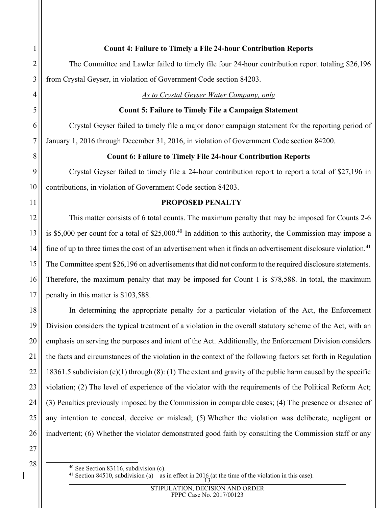## **Count 4: Failure to Timely a File 24-hour Contribution Reports**

The Committee and Lawler failed to timely file four 24-hour contribution report totaling \$26,196 from Crystal Geyser, in violation of Government Code section 84203.

*As to Crystal Geyser Water Company, only*

#### **Count 5: Failure to Timely File a Campaign Statement**

Crystal Geyser failed to timely file a major donor campaign statement for the reporting period of January 1, 2016 through December 31, 2016, in violation of Government Code section 84200.

### **Count 6: Failure to Timely File 24-hour Contribution Reports**

Crystal Geyser failed to timely file a 24-hour contribution report to report a total of \$27,196 in contributions, in violation of Government Code section 84203.

## **PROPOSED PENALTY**

This matter consists of 6 total counts. The maximum penalty that may be imposed for Counts 2-6 is \$5,000 per count for a total of \$25,000. [40](#page-12-0) In addition to this authority, the Commission may impose a fine of up to three times the cost of an advertisement when it finds an advertisement disclosure violation.<sup>[41](#page-12-1)</sup> The Committee spent \$26,196 on advertisements that did not conform to the required disclosure statements. Therefore, the maximum penalty that may be imposed for Count 1 is \$78,588. In total, the maximum penalty in this matter is \$103,588.

In determining the appropriate penalty for a particular violation of the Act, the Enforcement Division considers the typical treatment of a violation in the overall statutory scheme of the Act, with an emphasis on serving the purposes and intent of the Act. Additionally, the Enforcement Division considers the facts and circumstances of the violation in the context of the following factors set forth in Regulation 18361.5 subdivision (e)(1) through (8): (1) The extent and gravity of the public harm caused by the specific violation; (2) The level of experience of the violator with the requirements of the Political Reform Act; (3) Penalties previously imposed by the Commission in comparable cases; (4) The presence or absence of any intention to conceal, deceive or mislead; (5) Whether the violation was deliberate, negligent or inadvertent; (6) Whether the violator demonstrated good faith by consulting the Commission staff or any

<span id="page-12-0"></span> $40$  See Section 83116, subdivision (c).

<span id="page-12-1"></span><sup>&</sup>lt;sup>41</sup> Section 84510, subdivision (a)—as in effect in 2016 (at the time of the violation in this case).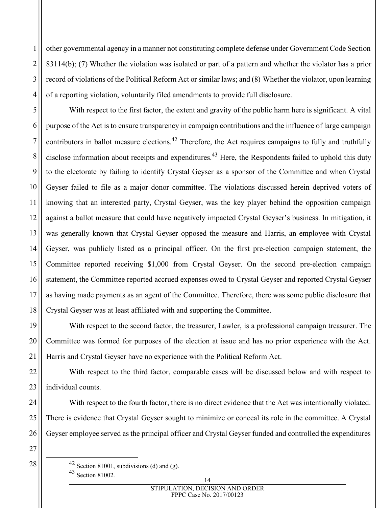4 other governmental agency in a manner not constituting complete defense under Government Code Section 83114(b); (7) Whether the violation was isolated or part of a pattern and whether the violator has a prior record of violations of the Political Reform Act or similar laws; and (8) Whether the violator, upon learning of a reporting violation, voluntarily filed amendments to provide full disclosure.

With respect to the first factor, the extent and gravity of the public harm here is significant. A vital purpose of the Act is to ensure transparency in campaign contributions and the influence of large campaign contributors in ballot measure elections.<sup>[42](#page-13-0)</sup> Therefore, the Act requires campaigns to fully and truthfully disclose information about receipts and expenditures.<sup>[43](#page-13-1)</sup> Here, the Respondents failed to uphold this duty to the electorate by failing to identify Crystal Geyser as a sponsor of the Committee and when Crystal Geyser failed to file as a major donor committee. The violations discussed herein deprived voters of knowing that an interested party, Crystal Geyser, was the key player behind the opposition campaign against a ballot measure that could have negatively impacted Crystal Geyser's business. In mitigation, it was generally known that Crystal Geyser opposed the measure and Harris, an employee with Crystal Geyser, was publicly listed as a principal officer. On the first pre-election campaign statement, the Committee reported receiving \$1,000 from Crystal Geyser. On the second pre-election campaign statement, the Committee reported accrued expenses owed to Crystal Geyser and reported Crystal Geyser as having made payments as an agent of the Committee. Therefore, there was some public disclosure that Crystal Geyser was at least affiliated with and supporting the Committee.

With respect to the second factor, the treasurer, Lawler, is a professional campaign treasurer. The Committee was formed for purposes of the election at issue and has no prior experience with the Act. Harris and Crystal Geyser have no experience with the Political Reform Act.

With respect to the third factor, comparable cases will be discussed below and with respect to individual counts.

With respect to the fourth factor, there is no direct evidence that the Act was intentionally violated. There is evidence that Crystal Geyser sought to minimize or conceal its role in the committee. A Crystal Geyser employee served as the principal officer and Crystal Geyser funded and controlled the expenditures

27 28

1

2

3

5

6

7

8

9

10

11

12

13

14

15

16

17

18

19

20

21

22

23

24

25

<span id="page-13-1"></span><span id="page-13-0"></span> $42$  Section 81001, subdivisions (d) and (g). <sup>43</sup> Section 81002.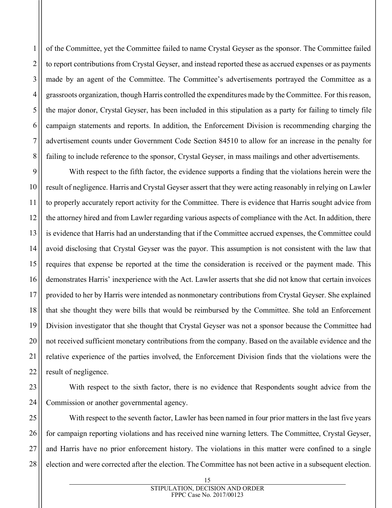2 3 4 5 7 8 of the Committee, yet the Committee failed to name Crystal Geyser as the sponsor. The Committee failed to report contributions from Crystal Geyser, and instead reported these as accrued expenses or as payments made by an agent of the Committee. The Committee's advertisements portrayed the Committee as a grassroots organization, though Harris controlled the expenditures made by the Committee. For this reason, the major donor, Crystal Geyser, has been included in this stipulation as a party for failing to timely file campaign statements and reports. In addition, the Enforcement Division is recommending charging the advertisement counts under Government Code Section 84510 to allow for an increase in the penalty for failing to include reference to the sponsor, Crystal Geyser, in mass mailings and other advertisements.

1

6

10

11

12

13

14

19

20

21

22

23

24

9 15 16 17 18 With respect to the fifth factor, the evidence supports a finding that the violations herein were the result of negligence. Harris and Crystal Geyser assert that they were acting reasonably in relying on Lawler to properly accurately report activity for the Committee. There is evidence that Harris sought advice from the attorney hired and from Lawler regarding various aspects of compliance with the Act. In addition, there is evidence that Harris had an understanding that if the Committee accrued expenses, the Committee could avoid disclosing that Crystal Geyser was the payor. This assumption is not consistent with the law that requires that expense be reported at the time the consideration is received or the payment made. This demonstrates Harris' inexperience with the Act. Lawler asserts that she did not know that certain invoices provided to her by Harris were intended as nonmonetary contributions from Crystal Geyser. She explained that she thought they were bills that would be reimbursed by the Committee. She told an Enforcement Division investigator that she thought that Crystal Geyser was not a sponsor because the Committee had not received sufficient monetary contributions from the company. Based on the available evidence and the relative experience of the parties involved, the Enforcement Division finds that the violations were the result of negligence.

With respect to the sixth factor, there is no evidence that Respondents sought advice from the Commission or another governmental agency.

25 26 27 28 With respect to the seventh factor, Lawler has been named in four prior matters in the last five years for campaign reporting violations and has received nine warning letters. The Committee, Crystal Geyser, and Harris have no prior enforcement history. The violations in this matter were confined to a single election and were corrected after the election. The Committee has not been active in a subsequent election.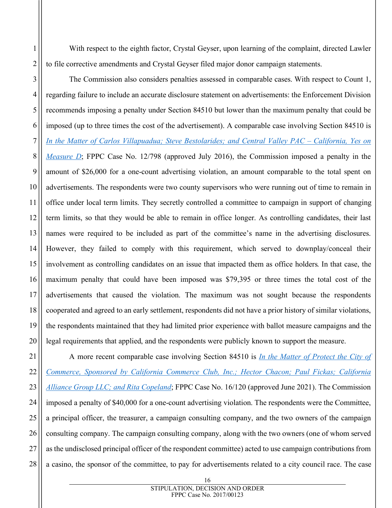With respect to the eighth factor, Crystal Geyser, upon learning of the complaint, directed Lawler to file corrective amendments and Crystal Geyser filed major donor campaign statements.

The Commission also considers penalties assessed in comparable cases. With respect to Count 1, regarding failure to include an accurate disclosure statement on advertisements: the Enforcement Division recommends imposing a penalty under Section 84510 but lower than the maximum penalty that could be imposed (up to three times the cost of the advertisement). A comparable case involving Section 84510 is *[In the Matter of Carlos Villapuadua; Steve Bestolarides; and Central Valley PAC –](https://www.fppc.ca.gov/content/dam/fppc/documents/Stipulations/2016/July/08%20-%20Central%20Valley%20PAC%20-%20California%2C%20Yes%20on%20Measure%20D%20-%20Stip%20and%20Exh.pdf) California, Yes on [Measure D](https://www.fppc.ca.gov/content/dam/fppc/documents/Stipulations/2016/July/08%20-%20Central%20Valley%20PAC%20-%20California%2C%20Yes%20on%20Measure%20D%20-%20Stip%20and%20Exh.pdf)*; FPPC Case No. 12/798 (approved July 2016), the Commission imposed a penalty in the amount of \$26,000 for a one-count advertising violation, an amount comparable to the total spent on advertisements. The respondents were two county supervisors who were running out of time to remain in office under local term limits. They secretly controlled a committee to campaign in support of changing term limits, so that they would be able to remain in office longer. As controlling candidates, their last names were required to be included as part of the committee's name in the advertising disclosures. However, they failed to comply with this requirement, which served to downplay/conceal their involvement as controlling candidates on an issue that impacted them as office holders. In that case, the maximum penalty that could have been imposed was \$79,395 or three times the total cost of the advertisements that caused the violation. The maximum was not sought because the respondents cooperated and agreed to an early settlement, respondents did not have a prior history of similar violations, the respondents maintained that they had limited prior experience with ballot measure campaigns and the legal requirements that applied, and the respondents were publicly known to support the measure.

27 28 A more recent comparable case involving Section 84510 is *[In the Matter of Protect the City of](https://www.fppc.ca.gov/content/dam/fppc/documents/Stipulations/2021/june/3-Protect-Commerce.pdf)  [Commerce, Sponsored by California Commerce Club, Inc.; Hector Chacon; Paul Fickas; California](https://www.fppc.ca.gov/content/dam/fppc/documents/Stipulations/2021/june/3-Protect-Commerce.pdf)  Alliance Group [LLC; and Rita Copeland](https://www.fppc.ca.gov/content/dam/fppc/documents/Stipulations/2021/june/3-Protect-Commerce.pdf)*; FPPC Case No. 16/120 (approved June 2021). The Commission imposed a penalty of \$40,000 for a one-count advertising violation. The respondents were the Committee, a principal officer, the treasurer, a campaign consulting company, and the two owners of the campaign consulting company. The campaign consulting company, along with the two owners (one of whom served as the undisclosed principal officer of the respondent committee) acted to use campaign contributions from a casino, the sponsor of the committee, to pay for advertisements related to a city council race. The case

1

2

3

4

5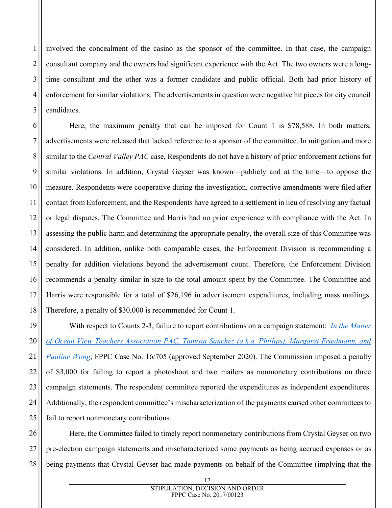involved the concealment of the casino as the sponsor of the committee. In that case, the campaign consultant company and the owners had significant experience with the Act. The two owners were a longtime consultant and the other was a former candidate and public official. Both had prior history of enforcement for similar violations. The advertisements in question were negative hit pieces for city council candidates.

1

2

3

4

5

6

7

8

9

10

11

12

13

14

15

17

18

21

16 Here, the maximum penalty that can be imposed for Count 1 is \$78,588. In both matters, advertisements were released that lacked reference to a sponsor of the committee. In mitigation and more similar to the *Central Valley PAC* case, Respondents do not have a history of prior enforcement actions for similar violations. In addition, Crystal Geyser was known—publicly and at the time—to oppose the measure. Respondents were cooperative during the investigation, corrective amendments were filed after contact from Enforcement, and the Respondents have agreed to a settlement in lieu of resolving any factual or legal disputes. The Committee and Harris had no prior experience with compliance with the Act. In assessing the public harm and determining the appropriate penalty, the overall size of this Committee was considered. In addition, unlike both comparable cases, the Enforcement Division is recommending a penalty for addition violations beyond the advertisement count. Therefore, the Enforcement Division recommends a penalty similar in size to the total amount spent by the Committee. The Committee and Harris were responsible for a total of \$26,196 in advertisement expenditures, including mass mailings. Therefore, a penalty of \$30,000 is recommended for Count 1.

19 20 22 23 24 25 With respect to Counts 2-3, failure to report contributions on a campaign statement: *[In the Matter](https://www.fppc.ca.gov/content/dam/fppc/documents/Stipulations/2016/July/08%20-%20Central%20Valley%20PAC%20-%20California%2C%20Yes%20on%20Measure%20D%20-%20Stip%20and%20Exh.pdf)  [of Ocean View Teachers Association PAC, Tanysia Sanchez \(a.k.a. Phillips\), Margaret Friedmann, and](https://www.fppc.ca.gov/content/dam/fppc/documents/Stipulations/2016/July/08%20-%20Central%20Valley%20PAC%20-%20California%2C%20Yes%20on%20Measure%20D%20-%20Stip%20and%20Exh.pdf)  [Pauline Wong](https://www.fppc.ca.gov/content/dam/fppc/documents/Stipulations/2016/July/08%20-%20Central%20Valley%20PAC%20-%20California%2C%20Yes%20on%20Measure%20D%20-%20Stip%20and%20Exh.pdf)*; FPPC Case No. 16/705 (approved September 2020). The Commission imposed a penalty of \$3,000 for failing to report a photoshoot and two mailers as nonmonetary contributions on three campaign statements. The respondent committee reported the expenditures as independent expenditures. Additionally, the respondent committee's mischaracterization of the payments caused other committees to fail to report nonmonetary contributions.

26 27 28 Here, the Committee failed to timely report nonmonetary contributions from Crystal Geyser on two pre-election campaign statements and mischaracterized some payments as being accrued expenses or as being payments that Crystal Geyser had made payments on behalf of the Committee (implying that the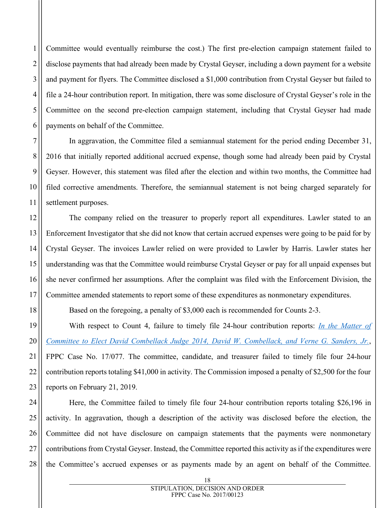4 Committee would eventually reimburse the cost.) The first pre-election campaign statement failed to disclose payments that had already been made by Crystal Geyser, including a down payment for a website and payment for flyers. The Committee disclosed a \$1,000 contribution from Crystal Geyser but failed to file a 24-hour contribution report. In mitigation, there was some disclosure of Crystal Geyser's role in the Committee on the second pre-election campaign statement, including that Crystal Geyser had made payments on behalf of the Committee.

In aggravation, the Committee filed a semiannual statement for the period ending December 31, 2016 that initially reported additional accrued expense, though some had already been paid by Crystal Geyser. However, this statement was filed after the election and within two months, the Committee had filed corrective amendments. Therefore, the semiannual statement is not being charged separately for settlement purposes.

The company relied on the treasurer to properly report all expenditures. Lawler stated to an Enforcement Investigator that she did not know that certain accrued expenses were going to be paid for by Crystal Geyser. The invoices Lawler relied on were provided to Lawler by Harris. Lawler states her understanding was that the Committee would reimburse Crystal Geyser or pay for all unpaid expenses but she never confirmed her assumptions. After the complaint was filed with the Enforcement Division, the Committee amended statements to report some of these expenditures as nonmonetary expenditures.

Based on the foregoing, a penalty of \$3,000 each is recommended for Counts 2-3.

With respect to Count 4, failure to timely file 24-hour contribution reports: *[In the Matter of](https://www.fppc.ca.gov/content/dam/fppc/documents/Stipulations/2016/July/08%20-%20Central%20Valley%20PAC%20-%20California%2C%20Yes%20on%20Measure%20D%20-%20Stip%20and%20Exh.pdf)  [Committee to Elect David Combellack Judge 2014, David W. Combellack, and Verne G. Sanders, Jr.](https://www.fppc.ca.gov/content/dam/fppc/documents/Stipulations/2016/July/08%20-%20Central%20Valley%20PAC%20-%20California%2C%20Yes%20on%20Measure%20D%20-%20Stip%20and%20Exh.pdf)*, FPPC Case No. 17/077. The committee, candidate, and treasurer failed to timely file four 24-hour contribution reports totaling \$41,000 in activity. The Commission imposed a penalty of \$2,500 for the four reports on February 21, 2019.

24 25 26 27 28 Here, the Committee failed to timely file four 24-hour contribution reports totaling \$26,196 in activity. In aggravation, though a description of the activity was disclosed before the election, the Committee did not have disclosure on campaign statements that the payments were nonmonetary contributions from Crystal Geyser. Instead, the Committee reported this activity as if the expenditures were the Committee's accrued expenses or as payments made by an agent on behalf of the Committee.

1

2

3

5

6

7

8

9

10

11

12

13

14

15

16

17

18

19

20

21

22

23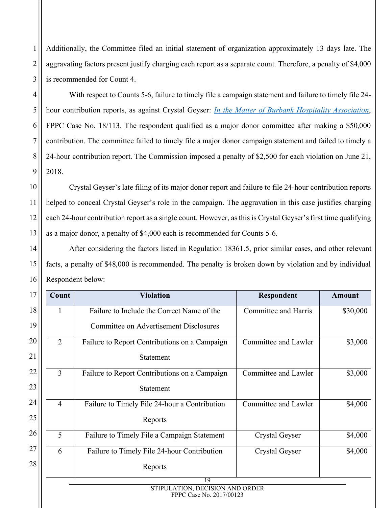Additionally, the Committee filed an initial statement of organization approximately 13 days late. The aggravating factors present justify charging each report as a separate count. Therefore, a penalty of \$4,000 is recommended for Count 4.

1

2

3

4

5

6

7

8

9

10

11

12

13

14

15

16

With respect to Counts 5-6, failure to timely file a campaign statement and failure to timely file 24 hour contribution reports, as against Crystal Geyser: *[In the Matter of Burbank Hospitality Association](https://www.fppc.ca.gov/content/dam/fppc/documents/Stipulations/2016/July/08%20-%20Central%20Valley%20PAC%20-%20California%2C%20Yes%20on%20Measure%20D%20-%20Stip%20and%20Exh.pdf)*, FPPC Case No. 18/113. The respondent qualified as a major donor committee after making a \$50,000 contribution. The committee failed to timely file a major donor campaign statement and failed to timely a 24-hour contribution report. The Commission imposed a penalty of \$2,500 for each violation on June 21, 2018.

Crystal Geyser's late filing of its major donor report and failure to file 24-hour contribution reports helped to conceal Crystal Geyser's role in the campaign. The aggravation in this case justifies charging each 24-hour contribution report as a single count. However, as this is Crystal Geyser's first time qualifying as a major donor, a penalty of \$4,000 each is recommended for Counts 5-6.

After considering the factors listed in Regulation 18361.5, prior similar cases, and other relevant facts, a penalty of \$48,000 is recommended. The penalty is broken down by violation and by individual Respondent below:

| 17<br><b>Violation</b><br>Count                                          |                                                                 |                                               | <b>Respondent</b>           | <b>Amount</b> |
|--------------------------------------------------------------------------|-----------------------------------------------------------------|-----------------------------------------------|-----------------------------|---------------|
| 18                                                                       | Failure to Include the Correct Name of the<br>1                 |                                               | <b>Committee and Harris</b> | \$30,000      |
| 19                                                                       |                                                                 | <b>Committee on Advertisement Disclosures</b> |                             |               |
| 20                                                                       | 2                                                               | Failure to Report Contributions on a Campaign | Committee and Lawler        | \$3,000       |
| 21                                                                       |                                                                 | Statement                                     |                             |               |
| 22                                                                       | 3                                                               | Failure to Report Contributions on a Campaign | Committee and Lawler        | \$3,000       |
| 23                                                                       | Statement                                                       |                                               |                             |               |
| 24                                                                       | $\overline{4}$<br>Failure to Timely File 24-hour a Contribution |                                               | Committee and Lawler        | \$4,000       |
| 25<br>Reports                                                            |                                                                 |                                               |                             |               |
| 26<br>5<br>Failure to Timely File a Campaign Statement<br>Crystal Geyser |                                                                 | \$4,000                                       |                             |               |
| 27                                                                       | 6                                                               | Failure to Timely File 24-hour Contribution   | Crystal Geyser              | \$4,000       |
| 28                                                                       |                                                                 | Reports                                       |                             |               |
|                                                                          |                                                                 | 19                                            |                             |               |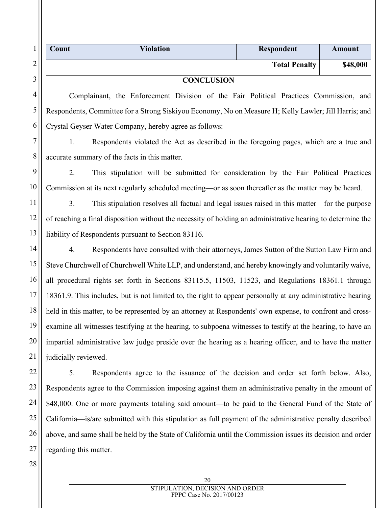|         | Count | <b>Violation</b> | Respondent           | Amount   |
|---------|-------|------------------|----------------------|----------|
| ◠<br>∠  |       |                  | <b>Total Penalty</b> | \$48,000 |
| ⌒<br>C. |       | CONCLUSION       |                      |          |

#### **CONCLUSION**

Complainant, the Enforcement Division of the Fair Political Practices Commission, and Respondents, Committee for a Strong Siskiyou Economy, No on Measure H; Kelly Lawler; Jill Harris; and Crystal Geyser Water Company, hereby agree as follows:

1. Respondents violated the Act as described in the foregoing pages, which are a true and accurate summary of the facts in this matter.

2. This stipulation will be submitted for consideration by the Fair Political Practices Commission at its next regularly scheduled meeting—or as soon thereafter as the matter may be heard.

3. This stipulation resolves all factual and legal issues raised in this matter—for the purpose of reaching a final disposition without the necessity of holding an administrative hearing to determine the liability of Respondents pursuant to Section 83116.

4. Respondents have consulted with their attorneys, James Sutton of the Sutton Law Firm and Steve Churchwell of Churchwell White LLP, and understand, and hereby knowingly and voluntarily waive, all procedural rights set forth in Sections 83115.5, 11503, 11523, and Regulations 18361.1 through 18361.9. This includes, but is not limited to, the right to appear personally at any administrative hearing held in this matter, to be represented by an attorney at Respondents' own expense, to confront and crossexamine all witnesses testifying at the hearing, to subpoena witnesses to testify at the hearing, to have an impartial administrative law judge preside over the hearing as a hearing officer, and to have the matter judicially reviewed.

22 23 24 25 26 5. Respondents agree to the issuance of the decision and order set forth below. Also, Respondents agree to the Commission imposing against them an administrative penalty in the amount of \$48,000. One or more payments totaling said amount—to be paid to the General Fund of the State of California—is/are submitted with this stipulation as full payment of the administrative penalty described above, and same shall be held by the State of California until the Commission issues its decision and order regarding this matter.

28

27

4

5

6

7

8

9

10

11

12

13

14

15

16

17

18

19

20

21

20 STIPULATION, DECISION AND ORDER FPPC Case No. 2017/00123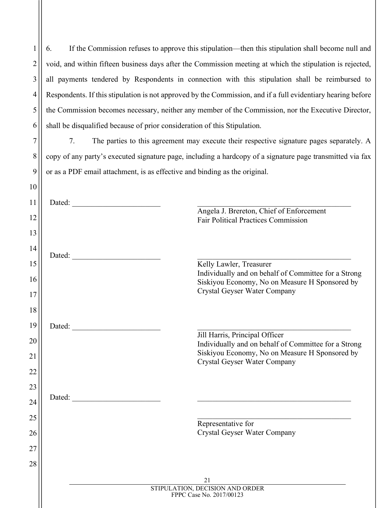1 2 3 4 5 6 6. If the Commission refuses to approve this stipulation—then this stipulation shall become null and void, and within fifteen business days after the Commission meeting at which the stipulation is rejected, all payments tendered by Respondents in connection with this stipulation shall be reimbursed to Respondents. If this stipulation is not approved by the Commission, and if a full evidentiary hearing before the Commission becomes necessary, neither any member of the Commission, nor the Executive Director, shall be disqualified because of prior consideration of this Stipulation.

7. The parties to this agreement may execute their respective signature pages separately. A copy of any party's executed signature page, including a hardcopy of a signature page transmitted via fax or as a PDF email attachment, is as effective and binding as the original.

7

8

9

| 11              | Dated:                                                                                                                                                                                                                         |                                                                                                        |
|-----------------|--------------------------------------------------------------------------------------------------------------------------------------------------------------------------------------------------------------------------------|--------------------------------------------------------------------------------------------------------|
| 12              |                                                                                                                                                                                                                                | Angela J. Brereton, Chief of Enforcement                                                               |
|                 |                                                                                                                                                                                                                                | <b>Fair Political Practices Commission</b>                                                             |
| 13              |                                                                                                                                                                                                                                |                                                                                                        |
| 14              | Dated:                                                                                                                                                                                                                         |                                                                                                        |
| 15              |                                                                                                                                                                                                                                | Kelly Lawler, Treasurer                                                                                |
| 16              |                                                                                                                                                                                                                                | Individually and on behalf of Committee for a Strong<br>Siskiyou Economy, No on Measure H Sponsored by |
| 17              |                                                                                                                                                                                                                                | Crystal Geyser Water Company                                                                           |
| 18              |                                                                                                                                                                                                                                |                                                                                                        |
| 19              | Dated:                                                                                                                                                                                                                         |                                                                                                        |
| 20              |                                                                                                                                                                                                                                | Jill Harris, Principal Officer                                                                         |
|                 |                                                                                                                                                                                                                                | Individually and on behalf of Committee for a Strong<br>Siskiyou Economy, No on Measure H Sponsored by |
| $\overline{21}$ |                                                                                                                                                                                                                                | <b>Crystal Geyser Water Company</b>                                                                    |
| 22              |                                                                                                                                                                                                                                |                                                                                                        |
| 23              |                                                                                                                                                                                                                                |                                                                                                        |
| 24              | Dated: The contract of the contract of the contract of the contract of the contract of the contract of the contract of the contract of the contract of the contract of the contract of the contract of the contract of the con |                                                                                                        |
| 25              |                                                                                                                                                                                                                                |                                                                                                        |
| 26              |                                                                                                                                                                                                                                | Representative for<br>Crystal Geyser Water Company                                                     |
|                 |                                                                                                                                                                                                                                |                                                                                                        |
| 27              |                                                                                                                                                                                                                                |                                                                                                        |
| 28              |                                                                                                                                                                                                                                |                                                                                                        |
|                 |                                                                                                                                                                                                                                | 21<br>STIPULATION, DECISION AND ORDER                                                                  |
|                 |                                                                                                                                                                                                                                | FPPC Case No. 2017/00123                                                                               |
|                 |                                                                                                                                                                                                                                |                                                                                                        |